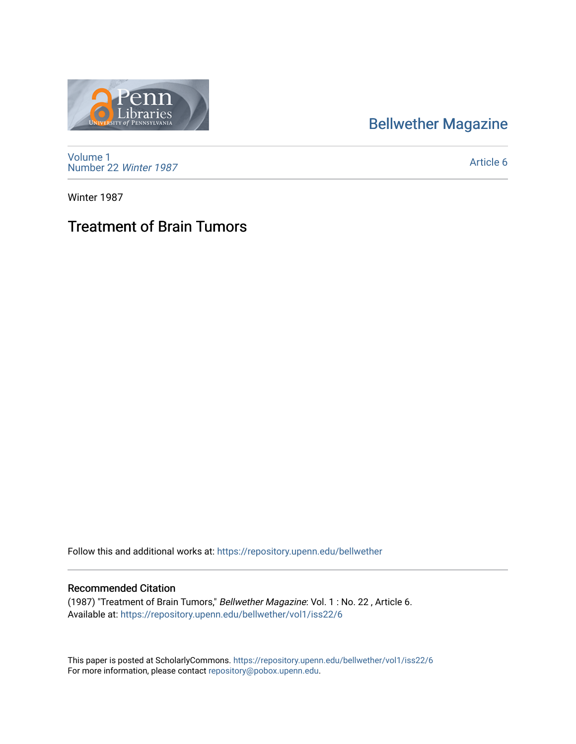## [Bellwether Magazine](https://repository.upenn.edu/bellwether)



[Volume 1](https://repository.upenn.edu/bellwether/vol1) [Number 22](https://repository.upenn.edu/bellwether/vol1/iss22) Winter 1987

[Article 6](https://repository.upenn.edu/bellwether/vol1/iss22/6) 

Winter 1987

## Treatment of Brain Tumors

Follow this and additional works at: [https://repository.upenn.edu/bellwether](https://repository.upenn.edu/bellwether?utm_source=repository.upenn.edu%2Fbellwether%2Fvol1%2Fiss22%2F6&utm_medium=PDF&utm_campaign=PDFCoverPages) 

## Recommended Citation

(1987) "Treatment of Brain Tumors," Bellwether Magazine: Vol. 1 : No. 22 , Article 6. Available at: [https://repository.upenn.edu/bellwether/vol1/iss22/6](https://repository.upenn.edu/bellwether/vol1/iss22/6?utm_source=repository.upenn.edu%2Fbellwether%2Fvol1%2Fiss22%2F6&utm_medium=PDF&utm_campaign=PDFCoverPages)

This paper is posted at ScholarlyCommons.<https://repository.upenn.edu/bellwether/vol1/iss22/6> For more information, please contact [repository@pobox.upenn.edu.](mailto:repository@pobox.upenn.edu)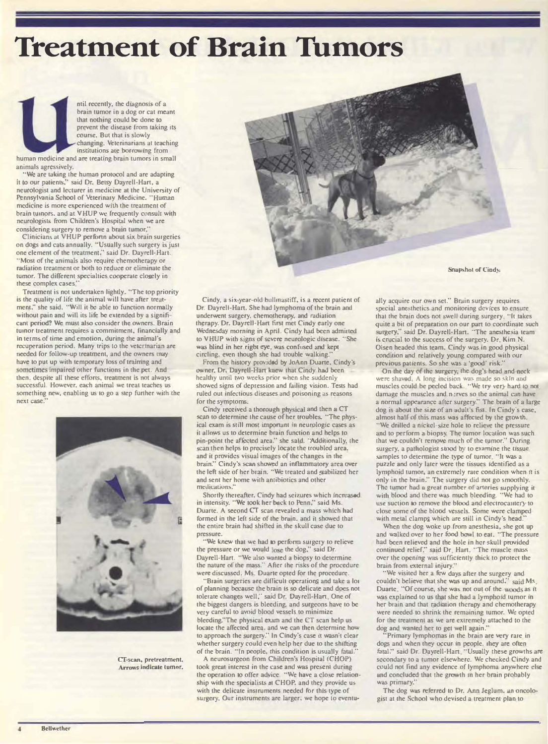**Treatment of Brain Tumors** 

ntil recently, the diagnosis of a brain tumor in a dog or cat meant that nothing could be done to prevent the disease from taking its course. But that is slowly changing. Veterinarians at teaching institutions are borrowing from human medicine and are treating brain tumors in small animals agressively.

"We are taking the human protocol and are adapting<br>it to our patients," said Dr. Betsy Dayrell-Hart, a neurologist and lecturer in medicine at the University of Pennsylvania School of Veterinary Medicine. "Human medicine is more experienced with the treatment of brain tuinors, and at VHUP we frequently consult with neurologists from Children's Hospital when we are considering surgery to remove a brain tumor.'

Clinicians at VHUP perform about six brain surgeries on dogs and cats annually. "Usually such surgery is just one clement of the treatment," said Dr. Dayrell-Hart. "Most of the animals also require chemotherapy or radiation treatment or both to reduce or eliminate the tumor. The different specialties cooperate closely in these complex cases.

Treatment is not undertaken lightly. "The top priority is the quality of life the animal will have after treatment," she said, "Will it be able to function normally without pain and will its life be extended by a significant period? We must also consider the owners. Brain tuinor treatment requires a commitment, financially and in terms of time and emotion, during the animal's recuperation period. Many trips to the veterinarian are needed for follow-up treatment, and the owners may have to put up with temporary loss of training and sometimes impaired other functions in the pet. And then, despite all these efforts, treatment is not always successful. However, each animal we treat teaches us something new, enabling us to go a step further with the next case.



CT-scan, pretreatment. Arrows indicate tumor.



**Snapshot of Cindy.** 

Cindy, a six-year-old bullmastiff, is a recent patient of Dr. Dayrell-Hart. She had lymphoma of the brain and underwent surgery, chemotherapy, and radiation therapy. Dr. Dayrell-Hart first met Cindy early one Wednesday morning in April. Cindy had been admitted to VHUP with signs of severe neurologic disease. "She was blind in her rigbt eye, was confused and kept circling. even though she had trouble walking.'

From the history provided by JoAnn Duarte, Cindy's<br>owner, Dr. Dayrell-Hart kaew that Cindy had been healthy until two weeks prior when she suddenly showed signs of depression and failing vision. Tests had ruled out infectious diseases and poisoning as reasons for the symptoms.

Cindy received a thorough physical and then a CT scan to determine the cause of her troubles. "The physical exam is still most important in neurologic cases as it allows us to determine brain function and helps to<br>pin-point the affected area." she said. "Additionally, the scan then helps to precisely locate the troubled area. and it provides visual images of the changes in the brain." Cindy's scan showed an inflammatory area over the left side of her brain. "We treated and stabilized her and sent her home with antibiotics and other medications.

Shortly thereafter. Cindy had seizures which increased in intensity. "We took her back to Penn," said Ms. Duarte. A second CT scan revealed a mass which had formed in the left side of the brain. and it showed that the entire brain had shifted in the skull case due to pressure.

"We knew that we had to perform surgery to relieve<br>the pressure or we would lose the dog," said Dr. Dayrell-Hart. "We also wanted a biopsy to determine the nature of the mass." After the risks of the procedure were discussed. Ms. Duarte opted for the procedure.

'Brain surgeries are difficult operations and take a lot of planning because the brain is so delicate and does not tolerate changes well," said Dr. Dayrell-Hart. One of the biggest dangers is bleeding, and surgeons have to be very careful to avoid blood vessels to minimize bleeding."The physical exam and the CT scan help us locate the affected area, and we can then determine how to approach the surgery." In Cindy's case it wasn't clear whether surgery could even help her due to the shifting of the brain. "In people, this condition is usually fatal.

A neurosurgeon from Children's Hospital (CHOP) took great interest in the case and was present during the operation to offer advice. "We have a close relationship with the specialists at CHOP, and they provide us with the delicate instruments needed for this type of surgery. Our instruments are larger; we hope to eventually acquire our own set." Brain surgery requires special anesthetics and monitoring devices to ensure that the brain does not swell during surgery. "It takes quite a bit of preparation on our part to coordinate such<br>surgery," said Dr. Dayrell-Hart. "The anesthesia team is crucial to the success of the surgery. Dr. Kim N. Olsen headed this team. Cindy was in good physical condition and relatively young compared with our previous patients. So she was a 'good' risk.'

On the day of the surgery, the dog's head and neck were shaved. A long incision was made so skin and<br>muscles could be peeled back. "We try very hard to not damage the muscles and nerves so the animal can have a normal appearance after surgery." The brain of a large<br>dog is about the size of an adult's fist. In Cindy's case, almost half of this mass was affected by the growth.<br>"We drilled a nickel-size hole to relieve the pressure and to perform a biopsy. The tumor location was such that we couldn't remove much of the tumor." During surgery, a pathologist stood by to examine the tissue samples to determine the type of tumor. "It was a puzzle and only later were the tissues identified as a lymphoid tumor, an extremely rate condition when it is<br>only in the brain." The surgery did not go smoothly. The tumor had a great number of arteries supplying it<br>with blood and there was much bleeding. "We had to use suction to remove the blood and electrocautery to close some of the blood vessels. Some were clamped with metal clamps which are still in Cindy's head.'

When the dog woke up from anesthesia, she got up<br>and walked over to her food bowl to eat. "The pressure had been relieved and the hole in her skull provided<br>continued relief," said Dr. Hart. "The muscle mass over the opening was sufficiently thick to protect the brain from external injury.'

"We visited her a few days after the surgery and couldn't believe that she was up and around." said Ms, Duarte. "Of course, she was not out of the woods as it was explained to us that she had a lymphoid tumor in her brain and that radiation therapy and chemotherapy were needed to shrink the remaining tumor. We opted for the treatment as we are extremely attached to the dog and wanted her to get well again."

Primary lymphomas in the brain are very rare in dogs and when they occur in people, they are often fatal," said Dr. Dayrell-Hart. "Usually these growths are secondary to a tumor elsewhere. We checked Cindy and could not lind any evidence of lymphoma anywhere else and concluded that the growth in her brain probably was primary."

The dog was referred to Dr. Ann Jeglum. an oncologist at the School who devised a treatment plan to